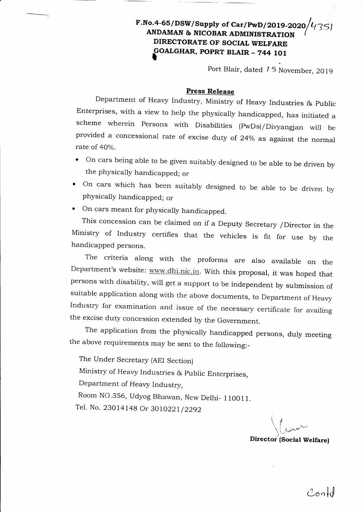## F.No.4-65/DSW/Supply of Car/PwD/2019-2020/ $\nu$ <sub>1</sub>35 ANDAMAN & NICOBAR ADMINISTRATION DIRECTORATE OF SOCIAL WELFARE GOALGHAR, POPRT BLAIR – 744 101

Port Blair, dated *15* November, 2019

## Press Release

Department of Heavy Industry, Ministry of Heavy Industries & Public Enterprises, with a view to help the physically handicapped, has initiated <sup>a</sup> scheme wherein Persons with Disabilities (PwDs)/Divyangjan will be provided a concessional rate of excise duty of 24% as against the normal rate of  $40\%$ .

- On cars being able to be given suitably designed to be able to be driven by the physically handicapped; or
- ' on cars which has been suitably designed to be able to be driven by physically handicapped; or
- . On cars meant for physically handicapped.

This concession can be claimed on if a Deputy secretary /Director in the Ministry of Industry certifies that the vehicles is {it for use by the handicapped persons

The criteria along with the proforma are also available on the Department's website: www.dhi.nic.in. with this proposal, it was hoped that persons with disability, will get a support to be independent by submission of suitable application along with the above documents, to Department of Heavy Industry for examination and issue of the necessary certificate for availing the excise duty concession extended by the Government.

The application from the physically handicapped persons, duly meeting the above requirements may be sent to the following:-

The Under Secretary (AEI Section)

Ministry of Heavy Industries & public Enterprises,

Department of Heavy Industry,

Room NO.356, Udyog Bhawan, New Delhi- 110011.

Tel. No. 23014148 Or 3010221/2292

 $\langle \; , \;$  $\setminus$  ' معملند<u>)</u> \*'

Director (Social Welfare)